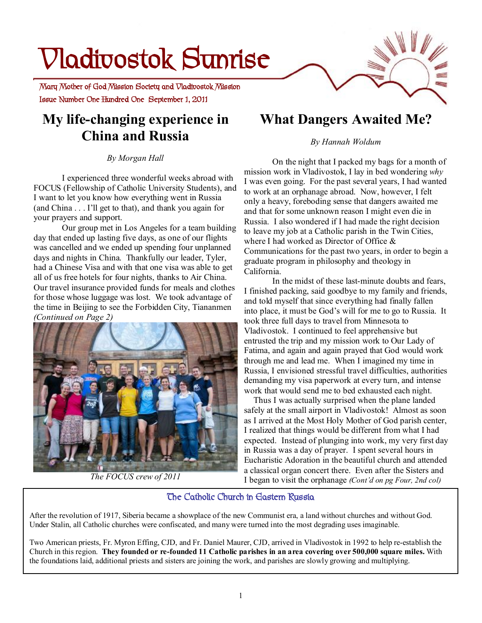# **Vladivostok Sunrise**

 **Issue Number One Hundred One September 1, 2011 Mary Mother of God Mission Society and Vladivostok Mission** 

# **My life-changing experience in China and Russia**

#### *By Morgan Hall*

I experienced three wonderful weeks abroad with FOCUS (Fellowship of Catholic University Students), and I want to let you know how everything went in Russia (and China . . . I'll get to that), and thank you again for your prayers and support.

Our group met in Los Angeles for a team building day that ended up lasting five days, as one of our flights was cancelled and we ended up spending four unplanned days and nights in China. Thankfully our leader, Tyler, had a Chinese Visa and with that one visa was able to get all of us free hotels for four nights, thanks to Air China. Our travel insurance provided funds for meals and clothes for those whose luggage was lost. We took advantage of the time in Beijing to see the Forbidden City, Tiananmen *(Continued on Page 2)* 



*The FOCUS crew of 2011* 

# **What Dangers Awaited Me?**

#### *By Hannah Woldum*

On the night that I packed my bags for a month of mission work in Vladivostok, I lay in bed wondering *why*  I was even going. For the past several years, I had wanted to work at an orphanage abroad. Now, however, I felt only a heavy, foreboding sense that dangers awaited me and that for some unknown reason I might even die in Russia. I also wondered if I had made the right decision to leave my job at a Catholic parish in the Twin Cities, where I had worked as Director of Office & Communications for the past two years, in order to begin a graduate program in philosophy and theology in California.

In the midst of these last-minute doubts and fears, I finished packing, said goodbye to my family and friends, and told myself that since everything had finally fallen into place, it must be God's will for me to go to Russia. It took three full days to travel from Minnesota to Vladivostok. I continued to feel apprehensive but entrusted the trip and my mission work to Our Lady of Fatima, and again and again prayed that God would work through me and lead me. When I imagined my time in Russia, I envisioned stressful travel difficulties, authorities demanding my visa paperwork at every turn, and intense work that would send me to bed exhausted each night.

 Thus I was actually surprised when the plane landed safely at the small airport in Vladivostok! Almost as soon as I arrived at the Most Holy Mother of God parish center, I realized that things would be different from what I had expected. Instead of plunging into work, my very first day in Russia was a day of prayer. I spent several hours in Eucharistic Adoration in the beautiful church and attended a classical organ concert there. Even after the Sisters and I began to visit the orphanage *(Cont'd on pg Four, 2nd col)* 

### **The Catholic Church in Eastern Russia**

After the revolution of 1917, Siberia became a showplace of the new Communist era, a land without churches and without God. Under Stalin, all Catholic churches were confiscated, and many were turned into the most degrading uses imaginable.

Two American priests, Fr. Myron Effing, CJD, and Fr. Daniel Maurer, CJD, arrived in Vladivostok in 1992 to help re-establish the Church in this region. They founded or re-founded 11 Catholic parishes in an area covering over 500,000 square miles. With the foundations laid, additional priests and sisters are joining the work, and parishes are slowly growing and multiplying.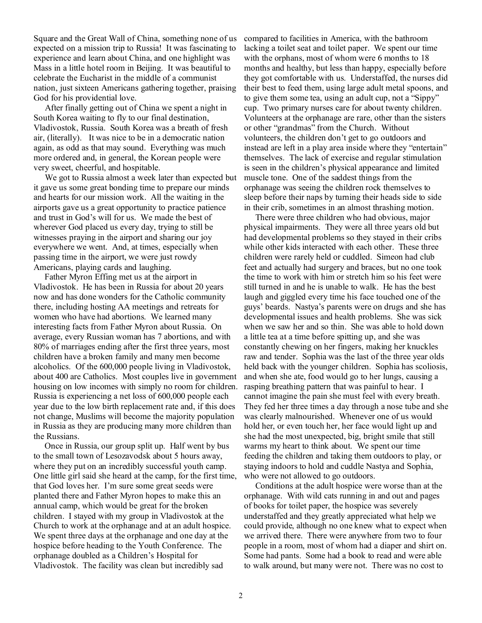Square and the Great Wall of China, something none of us expected on a mission trip to Russia! It was fascinating to experience and learn about China, and one highlight was Mass in a little hotel room in Beijing. It was beautiful to celebrate the Eucharist in the middle of a communist nation, just sixteen Americans gathering together, praising God for his providential love.

 After finally getting out of China we spent a night in South Korea waiting to fly to our final destination, Vladivostok, Russia. South Korea was a breath of fresh air, (literally). It was nice to be in a democratic nation again, as odd as that may sound. Everything was much more ordered and, in general, the Korean people were very sweet, cheerful, and hospitable.

 We got to Russia almost a week later than expected but it gave us some great bonding time to prepare our minds and hearts for our mission work. All the waiting in the airports gave us a great opportunity to practice patience and trust in God's will for us. We made the best of wherever God placed us every day, trying to still be witnesses praying in the airport and sharing our joy everywhere we went. And, at times, especially when passing time in the airport, we were just rowdy Americans, playing cards and laughing.

 Father Myron Effing met us at the airport in Vladivostok. He has been in Russia for about 20 years now and has done wonders for the Catholic community there, including hosting AA meetings and retreats for women who have had abortions. We learned many interesting facts from Father Myron about Russia. On average, every Russian woman has 7 abortions, and with 80% of marriages ending after the first three years, most children have a broken family and many men become alcoholics. Of the 600,000 people living in Vladivostok, about 400 are Catholics. Most couples live in government housing on low incomes with simply no room for children. Russia is experiencing a net loss of 600,000 people each year due to the low birth replacement rate and, if this does not change, Muslims will become the majority population in Russia as they are producing many more children than the Russians.

 Once in Russia, our group split up. Half went by bus to the small town of Lesozavodsk about 5 hours away, where they put on an incredibly successful youth camp. One little girl said she heard at the camp, for the first time, that God loves her. I'm sure some great seeds were planted there and Father Myron hopes to make this an annual camp, which would be great for the broken children. I stayed with my group in Vladivostok at the Church to work at the orphanage and at an adult hospice. We spent three days at the orphanage and one day at the hospice before heading to the Youth Conference. The orphanage doubled as a Children's Hospital for Vladivostok. The facility was clean but incredibly sad

compared to facilities in America, with the bathroom lacking a toilet seat and toilet paper. We spent our time with the orphans, most of whom were 6 months to 18 months and healthy, but less than happy, especially before they got comfortable with us. Understaffed, the nurses did their best to feed them, using large adult metal spoons, and to give them some tea, using an adult cup, not a "Sippy" cup. Two primary nurses care for about twenty children. Volunteers at the orphanage are rare, other than the sisters or other "grandmas" from the Church. Without volunteers, the children don't get to go outdoors and instead are left in a play area inside where they "entertain" themselves. The lack of exercise and regular stimulation is seen in the children's physical appearance and limited muscle tone. One of the saddest things from the orphanage was seeing the children rock themselves to sleep before their naps by turning their heads side to side in their crib, sometimes in an almost thrashing motion.

 There were three children who had obvious, major physical impairments. They were all three years old but had developmental problems so they stayed in their cribs while other kids interacted with each other. These three children were rarely held or cuddled. Simeon had club feet and actually had surgery and braces, but no one took the time to work with him or stretch him so his feet were still turned in and he is unable to walk. He has the best laugh and giggled every time his face touched one of the guys' beards. Nastya's parents were on drugs and she has developmental issues and health problems. She was sick when we saw her and so thin. She was able to hold down a little tea at a time before spitting up, and she was constantly chewing on her fingers, making her knuckles raw and tender. Sophia was the last of the three year olds held back with the younger children. Sophia has scoliosis, and when she ate, food would go to her lungs, causing a rasping breathing pattern that was painful to hear. I cannot imagine the pain she must feel with every breath. They fed her three times a day through a nose tube and she was clearly malnourished. Whenever one of us would hold her, or even touch her, her face would light up and she had the most unexpected, big, bright smile that still warms my heart to think about. We spent our time feeding the children and taking them outdoors to play, or staying indoors to hold and cuddle Nastya and Sophia, who were not allowed to go outdoors.

 Conditions at the adult hospice were worse than at the orphanage. With wild cats running in and out and pages of books for toilet paper, the hospice was severely understaffed and they greatly appreciated what help we could provide, although no one knew what to expect when we arrived there. There were anywhere from two to four people in a room, most of whom had a diaper and shirt on. Some had pants. Some had a book to read and were able to walk around, but many were not. There was no cost to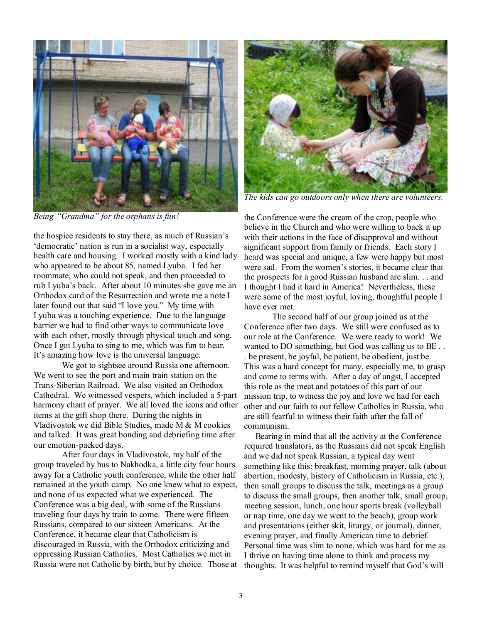

*Being "Grandma" for the orphans is fun!* 

the hospice residents to stay there, as much of Russian's 'democratic' nation is run in a socialist way, especially health care and housing. I worked mostly with a kind lady who appeared to be about 85, named Lyuba. I fed her roommate, who could not speak, and then proceeded to rub Lyuba's back. After about 10 minutes she gave me an Orthodox card of the Resurrection and wrote me a note I later found out that said "I love you." My time with Lyuba was a touching experience. Due to the language barrier we had to find other ways to communicate love with each other, mostly through physical touch and song. Once I got Lyuba to sing to me, which was fun to hear. It's amazing how love is the universal language.

We got to sightsee around Russia one afternoon. We went to see the port and main train station on the Trans-Siberian Railroad. We also visited an Orthodox Cathedral. We witnessed vespers, which included a 5-part harmony chant of prayer. We all loved the icons and other items at the gift shop there. During the nights in Vladivostok we did Bible Studies, made M & M cookies and talked. It was great bonding and debriefing time after our emotion-packed days.

After four days in Vladivostok, my half of the group traveled by bus to Nakhodka, a little city four hours away for a Catholic youth conference, while the other half remained at the youth camp. No one knew what to expect, and none of us expected what we experienced. The Conference was a big deal, with some of the Russians traveling four days by train to come. There were fifteen Russians, compared to our sixteen Americans. At the Conference, it became clear that Catholicism is discouraged in Russia, with the Orthodox criticizing and oppressing Russian Catholics. Most Catholics we met in Russia were not Catholic by birth, but by choice. Those at



*The kids can go outdoors only when there are volunteers.*

the Conference were the cream of the crop, people who believe in the Church and who were willing to back it up with their actions in the face of disapproval and without significant support from family or friends. Each story I heard was special and unique, a few were happy but most were sad. From the women's stories, it became clear that the prospects for a good Russian husband are slim. . . and I thought I had it hard in America! Nevertheless, these were some of the most joyful, loving, thoughtful people I have ever met.

The second half of our group joined us at the Conference after two days. We still were confused as to our role at the Conference. We were ready to work! We wanted to DO something, but God was calling us to BE . . . be present, be joyful, be patient, be obedient, just be. This was a hard concept for many, especially me, to grasp and come to terms with. After a day of angst, I accepted this role as the meat and potatoes of this part of our mission trip, to witness the joy and love we had for each other and our faith to our fellow Catholics in Russia, who are still fearful to witness their faith after the fall of communism.

 Bearing in mind that all the activity at the Conference required translators, as the Russians did not speak English and we did not speak Russian, a typical day went something like this: breakfast, morning prayer, talk (about abortion, modesty, history of Catholicism in Russia, etc.), then small groups to discuss the talk, meetings as a group to discuss the small groups, then another talk, small group, meeting session, lunch, one hour sports break (volleyball or nap time, one day we went to the beach), group work and presentations (either skit, liturgy, or journal), dinner, evening prayer, and finally American time to debrief. Personal time was slim to none, which was hard for me as I thrive on having time alone to think and process my thoughts. It was helpful to remind myself that God's will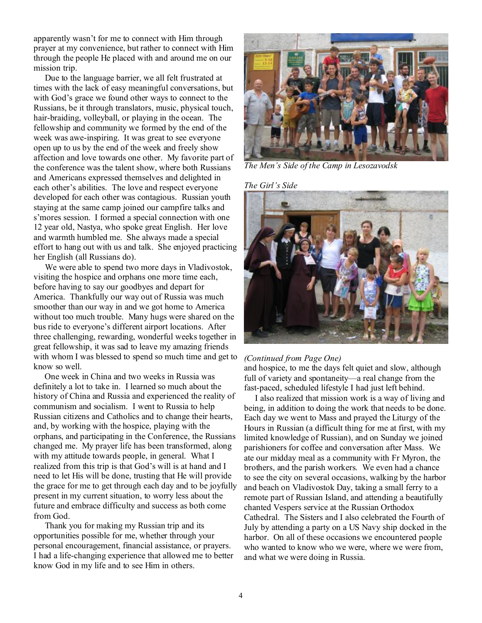apparently wasn't for me to connect with Him through prayer at my convenience, but rather to connect with Him through the people He placed with and around me on our mission trip.

 Due to the language barrier, we all felt frustrated at times with the lack of easy meaningful conversations, but with God's grace we found other ways to connect to the Russians, be it through translators, music, physical touch, hair-braiding, volleyball, or playing in the ocean. The fellowship and community we formed by the end of the week was awe-inspiring. It was great to see everyone open up to us by the end of the week and freely show affection and love towards one other. My favorite part of the conference was the talent show, where both Russians and Americans expressed themselves and delighted in each other's abilities. The love and respect everyone developed for each other was contagious. Russian youth staying at the same camp joined our campfire talks and s'mores session. I formed a special connection with one 12 year old, Nastya, who spoke great English. Her love and warmth humbled me. She always made a special effort to hang out with us and talk. She enjoyed practicing her English (all Russians do).

 We were able to spend two more days in Vladivostok, visiting the hospice and orphans one more time each, before having to say our goodbyes and depart for America. Thankfully our way out of Russia was much smoother than our way in and we got home to America without too much trouble. Many hugs were shared on the bus ride to everyone's different airport locations. After three challenging, rewarding, wonderful weeks together in great fellowship, it was sad to leave my amazing friends with whom I was blessed to spend so much time and get to know so well.

 One week in China and two weeks in Russia was definitely a lot to take in. I learned so much about the history of China and Russia and experienced the reality of communism and socialism. I went to Russia to help Russian citizens and Catholics and to change their hearts, and, by working with the hospice, playing with the orphans, and participating in the Conference, the Russians changed me. My prayer life has been transformed, along with my attitude towards people, in general. What I realized from this trip is that God's will is at hand and I need to let His will be done, trusting that He will provide the grace for me to get through each day and to be joyfully present in my current situation, to worry less about the future and embrace difficulty and success as both come from God.

 Thank you for making my Russian trip and its opportunities possible for me, whether through your personal encouragement, financial assistance, or prayers. I had a life-changing experience that allowed me to better know God in my life and to see Him in others.



*The Men's Side of the Camp in Lesozavodsk* 

*The Girl's Side* 



#### *(Continued from Page One)*

and hospice, to me the days felt quiet and slow, although full of variety and spontaneity—a real change from the fast-paced, scheduled lifestyle I had just left behind.

 I also realized that mission work is a way of living and being, in addition to doing the work that needs to be done. Each day we went to Mass and prayed the Liturgy of the Hours in Russian (a difficult thing for me at first, with my limited knowledge of Russian), and on Sunday we joined parishioners for coffee and conversation after Mass. We ate our midday meal as a community with Fr Myron, the brothers, and the parish workers. We even had a chance to see the city on several occasions, walking by the harbor and beach on Vladivostok Day, taking a small ferry to a remote part of Russian Island, and attending a beautifully chanted Vespers service at the Russian Orthodox Cathedral. The Sisters and I also celebrated the Fourth of July by attending a party on a US Navy ship docked in the harbor. On all of these occasions we encountered people who wanted to know who we were, where we were from, and what we were doing in Russia.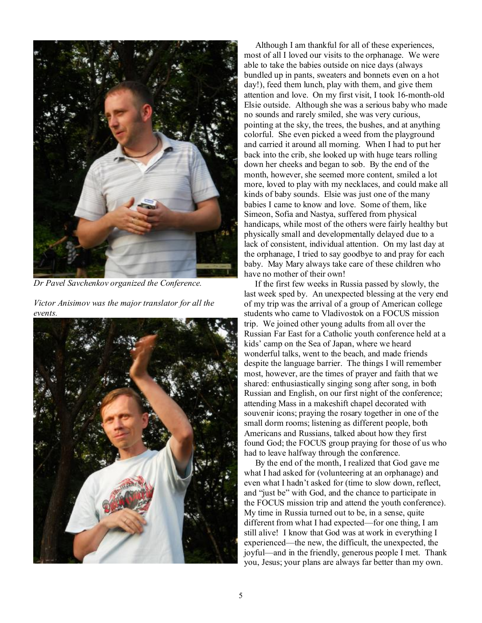

*Dr Pavel Savchenkov organized the Conference.* 

*Victor Anisimov was the major translator for all the events.* 



 Although I am thankful for all of these experiences, most of all I loved our visits to the orphanage. We were able to take the babies outside on nice days (always bundled up in pants, sweaters and bonnets even on a hot day!), feed them lunch, play with them, and give them attention and love. On my first visit, I took 16-month-old Elsie outside. Although she was a serious baby who made no sounds and rarely smiled, she was very curious, pointing at the sky, the trees, the bushes, and at anything colorful. She even picked a weed from the playground and carried it around all morning. When I had to put her back into the crib, she looked up with huge tears rolling down her cheeks and began to sob. By the end of the month, however, she seemed more content, smiled a lot more, loved to play with my necklaces, and could make all kinds of baby sounds. Elsie was just one of the many babies I came to know and love. Some of them, like Simeon, Sofia and Nastya, suffered from physical handicaps, while most of the others were fairly healthy but physically small and developmentally delayed due to a lack of consistent, individual attention. On my last day at the orphanage, I tried to say goodbye to and pray for each baby. May Mary always take care of these children who have no mother of their own!

 If the first few weeks in Russia passed by slowly, the last week sped by. An unexpected blessing at the very end of my trip was the arrival of a group of American college students who came to Vladivostok on a FOCUS mission trip. We joined other young adults from all over the Russian Far East for a Catholic youth conference held at a kids' camp on the Sea of Japan, where we heard wonderful talks, went to the beach, and made friends despite the language barrier. The things I will remember most, however, are the times of prayer and faith that we shared: enthusiastically singing song after song, in both Russian and English, on our first night of the conference; attending Mass in a makeshift chapel decorated with souvenir icons; praying the rosary together in one of the small dorm rooms; listening as different people, both Americans and Russians, talked about how they first found God; the FOCUS group praying for those of us who had to leave halfway through the conference.

 By the end of the month, I realized that God gave me what I had asked for (volunteering at an orphanage) and even what I hadn't asked for (time to slow down, reflect, and "just be" with God, and the chance to participate in the FOCUS mission trip and attend the youth conference). My time in Russia turned out to be, in a sense, quite different from what I had expected—for one thing, I am still alive! I know that God was at work in everything I experienced—the new, the difficult, the unexpected, the joyful—and in the friendly, generous people I met. Thank you, Jesus; your plans are always far better than my own.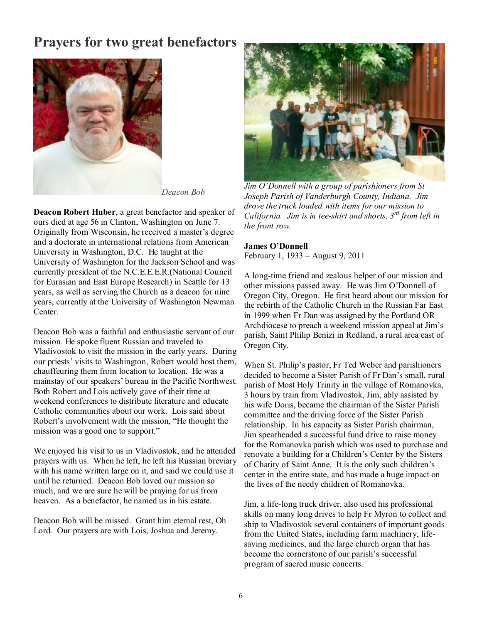## **Prayers for two great benefactors**



*Deacon Bob*

**Deacon Robert Huber**, a great benefactor and speaker of ours died at age 56 in Clinton, Washington on June 7. Originally from Wisconsin, he received a master's degree and a doctorate in international relations from American University in Washington, D.C. He taught at the University of Washington for the Jackson School and was currently president of the N.C.E.E.E.R.(National Council for Eurasian and East Europe Research) in Seattle for 13 years, as well as serving the Church as a deacon for nine years, currently at the University of Washington Newman Center.

Deacon Bob was a faithful and enthusiastic servant of our mission. He spoke fluent Russian and traveled to Vladivostok to visit the mission in the early years. During our priests' visits to Washington, Robert would host them, chauffeuring them from location to location. He was a mainstay of our speakers' bureau in the Pacific Northwest. Both Robert and Lois actively gave of their time at weekend conferences to distribute literature and educate Catholic communities about our work. Lois said about Robert's involvement with the mission, "He thought the mission was a good one to support."

We enjoyed his visit to us in Vladivostok, and he attended prayers with us. When he left, he left his Russian breviary with his name written large on it, and said we could use it until he returned. Deacon Bob loved our mission so much, and we are sure he will be praying for us from heaven. As a benefactor, he named us in his estate.

Deacon Bob will be missed. Grant him eternal rest, Oh Lord. Our prayers are with Lois, Joshua and Jeremy.



*Jim O'Donnell with a group of parishioners from St Joseph Parish of Vanderburgh County, Indiana. Jim drove the truck loaded with items for our mission to California. Jim is in tee-shirt and shorts, 3rd from left in the front row.* 

#### **James O'Donnell**

February 1, 1933 – August 9, 2011

A long-time friend and zealous helper of our mission and other missions passed away. He was Jim O'Donnell of Oregon City, Oregon. He first heard about our mission for the rebirth of the Catholic Church in the Russian Far East in 1999 when Fr Dan was assigned by the Portland OR Archdiocese to preach a weekend mission appeal at Jim's parish, Saint Philip Benizi in Redland, a rural area east of Oregon City.

When St. Philip's pastor, Fr Ted Weber and parishioners decided to become a Sister Parish of Fr Dan's small, rural parish of Most Holy Trinity in the village of Romanovka, 3 hours by train from Vladivostok, Jim, ably assisted by his wife Doris, became the chairman of the Sister Parish committee and the driving force of the Sister Parish relationship. In his capacity as Sister Parish chairman, Jim spearheaded a successful fund drive to raise money for the Romanovka parish which was used to purchase and renovate a building for a Children's Center by the Sisters of Charity of Saint Anne. It is the only such children's center in the entire state, and has made a huge impact on the lives of the needy children of Romanovka.

Jim, a life-long truck driver, also used his professional skills on many long drives to help Fr Myron to collect and ship to Vladivostok several containers of important goods from the United States, including farm machinery, lifesaving medicines, and the large church organ that has become the cornerstone of our parish's successful program of sacred music concerts.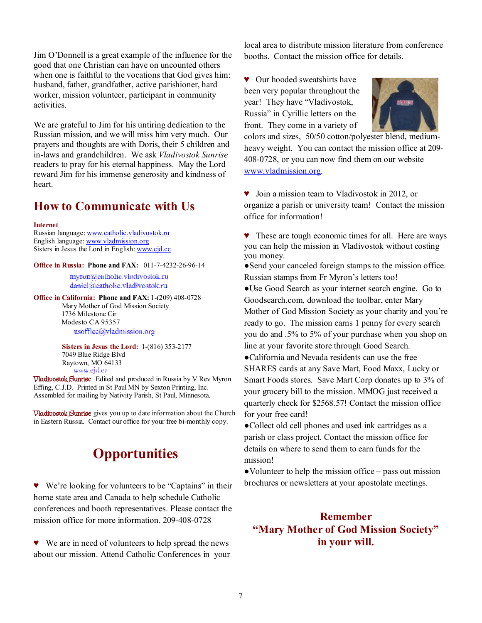Jim O'Donnell is a great example of the influence for the good that one Christian can have on uncounted others when one is faithful to the vocations that God gives him: husband, father, grandfather, active parishioner, hard worker, mission volunteer, participant in community activities.

We are grateful to Jim for his untiring dedication to the Russian mission, and we will miss him very much. Our prayers and thoughts are with Doris, their 5 children and in-laws and grandchildren. We ask *Vladivostok Sunrise* readers to pray for his eternal happiness. May the Lord reward Jim for his immense generosity and kindness of heart.

## **How to Communicate with Us**

#### **Internet**

Russian language: [www.catholic.vladivostok.ru](http://www.catholic.vladivostok.ru) English language: [www.vladmission.org](http://www.vladmission.org) Sisters in Jesus the Lord in English: [www.cjd.cc](http://www.cjd.cc)

**Office in Russia: Phone and FAX:** 011-7-4232-26-96-14

myron@catholic.vladivostok.ru daniel@eatholic.vladivostok.ru

**Office in California: Phone and FAX:** 1-(209) 408-0728 Mary Mother of God Mission Society 1736 Milestone Cir Modesto CA 95357 usoffice@vladmission.org

> **Sisters in Jesus the Lord:** 1-(816) 353-2177 7049 Blue Ridge Blvd Raytown, MO 64133

*Www.gra.en*<br> **Vladivostok Sunrise** Edited and produced in Russia by V Rev Myron Effing, C.J.D. Printed in St Paul MN by Sexton Printing, Inc. Assembled for mailing by Nativity Parish, St Paul, Minnesota.

**Vladivostok Sunrise** gives you up to date information about the Church in Eastern Russia. Contact our office for your free bi-monthly copy.

# **Opportunities**

♥ We're looking for volunteers to be "Captains" in their home state area and Canada to help schedule Catholic conferences and booth representatives. Please contact the mission office for more information. 209-408-0728

♥ We are in need of volunteers to help spread the news about our mission. Attend Catholic Conferences in your local area to distribute mission literature from conference booths. Contact the mission office for details.

♥ Our hooded sweatshirts have been very popular throughout the year! They have "Vladivostok, Russia" in Cyrillic letters on the front. They come in a variety of



colors and sizes, 50/50 cotton/polyester blend, mediumheavy weight. You can contact the mission office at 209-408-0728, or you can now find them on our website [www.vladmission.org.](http://www.vladmission.org)

♥ Join a mission team to Vladivostok in 2012, or organize a parish or university team! Contact the mission office for information!

♥ These are tough economic times for all. Here are ways you can help the mission in Vladivostok without costing you money.

●Send your canceled foreign stamps to the mission office. Russian stamps from Fr Myron's letters too!

●Use Good Search as your internet search engine. Go to Goodsearch.com, download the toolbar, enter Mary Mother of God Mission Society as your charity and you're ready to go. The mission earns 1 penny for every search you do and .5% to 5% of your purchase when you shop on line at your favorite store through Good Search.

●California and Nevada residents can use the free SHARES cards at any Save Mart, Food Maxx, Lucky or Smart Foods stores. Save Mart Corp donates up to 3% of your grocery bill to the mission. MMOG just received a quarterly check for \$2568.57! Contact the mission office for your free card!

●Collect old cell phones and used ink cartridges as a parish or class project. Contact the mission office for details on where to send them to earn funds for the mission!

●Volunteer to help the mission office – pass out mission brochures or newsletters at your apostolate meetings.

## **Remember "Mary Mother of God Mission Society" in your will.**